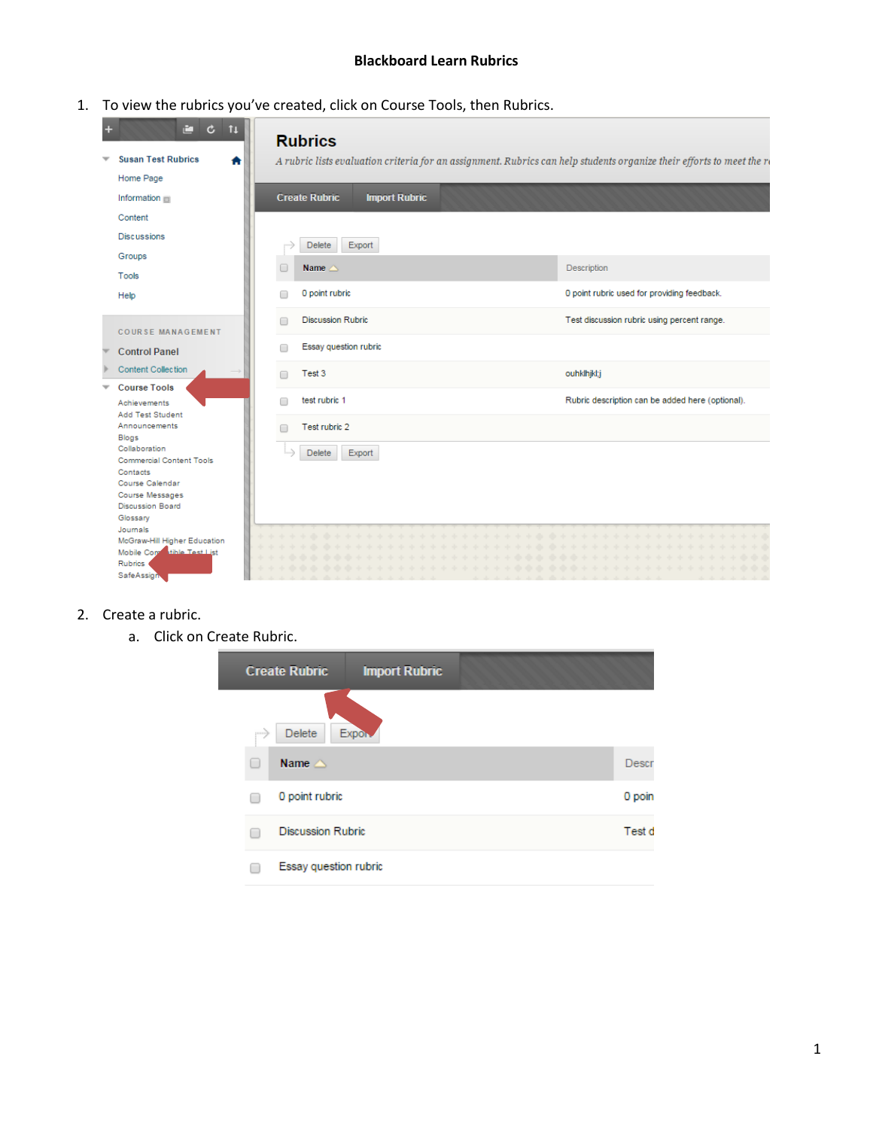### **Blackboard Learn Rubrics**

1. To view the rubrics you've created, click on Course Tools, then Rubrics.

| $\mathfrak{c}$<br>r i<br>11         |   | <b>Rubrics</b>                                                                                                        |                                                  |
|-------------------------------------|---|-----------------------------------------------------------------------------------------------------------------------|--------------------------------------------------|
| <b>Susan Test Rubrics</b>           |   | A rubric lists evaluation criteria for an assignment. Rubrics can help students organize their efforts to meet the re |                                                  |
| Home Page                           |   |                                                                                                                       |                                                  |
| Information                         |   | <b>Create Rubric</b><br><b>Import Rubric</b>                                                                          |                                                  |
| Content                             |   |                                                                                                                       |                                                  |
| <b>Discussions</b>                  |   | Export<br>Delete                                                                                                      |                                                  |
| Groups                              |   |                                                                                                                       |                                                  |
| Tools                               |   | Name $\triangle$                                                                                                      | Description                                      |
| Help                                | ╒ | 0 point rubric                                                                                                        | 0 point rubric used for providing feedback.      |
| <b>COURSE MANAGEMENT</b>            |   | <b>Discussion Rubric</b>                                                                                              | Test discussion rubric using percent range.      |
| <b>Control Panel</b>                | ⋒ | Essay question rubric                                                                                                 |                                                  |
| Content Collection                  |   | Test 3                                                                                                                | ouhklhjkl;j                                      |
| <b>Course Tools</b><br>Achievements |   | test rubric 1                                                                                                         | Rubric description can be added here (optional). |
| Add Test Student<br>Announcements   |   | Test rubric 2                                                                                                         |                                                  |
| Blogs<br>Collaboration              |   |                                                                                                                       |                                                  |
| <b>Commercial Content Tools</b>     |   | Delete<br>Export                                                                                                      |                                                  |
| Contacts<br>Course Calendar         |   |                                                                                                                       |                                                  |
| <b>Course Messages</b>              |   |                                                                                                                       |                                                  |
| <b>Discussion Board</b>             |   |                                                                                                                       |                                                  |
| Glossary<br>Journals                |   |                                                                                                                       |                                                  |
| McGraw-Hill Higher Education        |   |                                                                                                                       |                                                  |
| Mobile Contability Test List        |   |                                                                                                                       |                                                  |
| <b>Rubrics</b><br>SafeAssign        |   |                                                                                                                       |                                                  |

# 2. Create a rubric.

a. Click on Create Rubric.

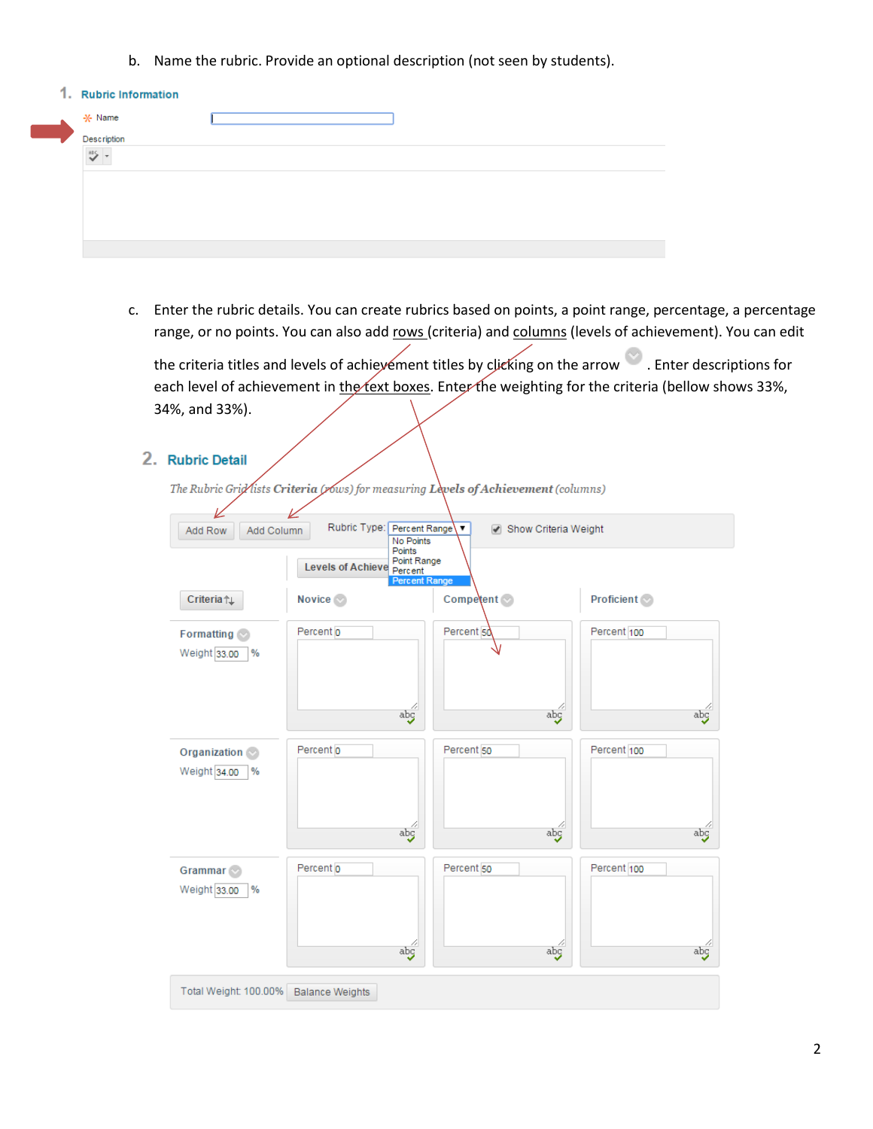b. Name the rubric. Provide an optional description (not seen by students).

| 1. Rubric Information |  |
|-----------------------|--|
| * Name                |  |
| Description           |  |
| 985                   |  |
|                       |  |
|                       |  |
|                       |  |
|                       |  |
|                       |  |

c. Enter the rubric details. You can create rubrics based on points, a point range, percentage, a percentage range, or no points. You can also add rows (criteria) and columns (levels of achievement). You can edit

the criteria titles and levels of achievement titles by clicking on the arrow **.** Enter descriptions for each level of achievement in the text boxes. Enter the weighting for the criteria (bellow shows 33%, 34%, and 33%).

2. Rubric Detail

The Rubric Grid lists Criteria (rows) for measuring Levels of Achievement (columns)

| Add Column<br>Add Row                                | Rubric Type: Percent Range<br><b>No Points</b><br>Points<br>Point Range | Show Criteria Weight<br>7               |                              |
|------------------------------------------------------|-------------------------------------------------------------------------|-----------------------------------------|------------------------------|
|                                                      | Levels of Achieve Percent<br><b>Percent Range</b>                       |                                         |                              |
| Criteria <sub>TL</sub>                               | Novice <sup></sup>                                                      | Competent of                            | <b>Proficient</b>            |
| Formatting $\heartsuit$<br>Weight 33.00<br>$\%$      | Percent o<br>abg                                                        | Percent 50<br>$\overline{abg}$          | Percent 100<br>abg           |
| <b>Organization</b><br>Weight 34.00<br>$\%$          | Percent <sub>0</sub><br>abg                                             | Percent <sub>50</sub><br>$\frac{ab}{b}$ | Percent 100<br>abç           |
| Grammar <a><br/><math>\%</math><br/>Weight 33.00</a> | Percent <sub>0</sub><br>$\overline{abg}$                                | Percent 50<br>4<br>abg                  | Percent 100<br>$\frac{a}{2}$ |
| Total Weight: 100.00%                                | <b>Balance Weights</b>                                                  |                                         |                              |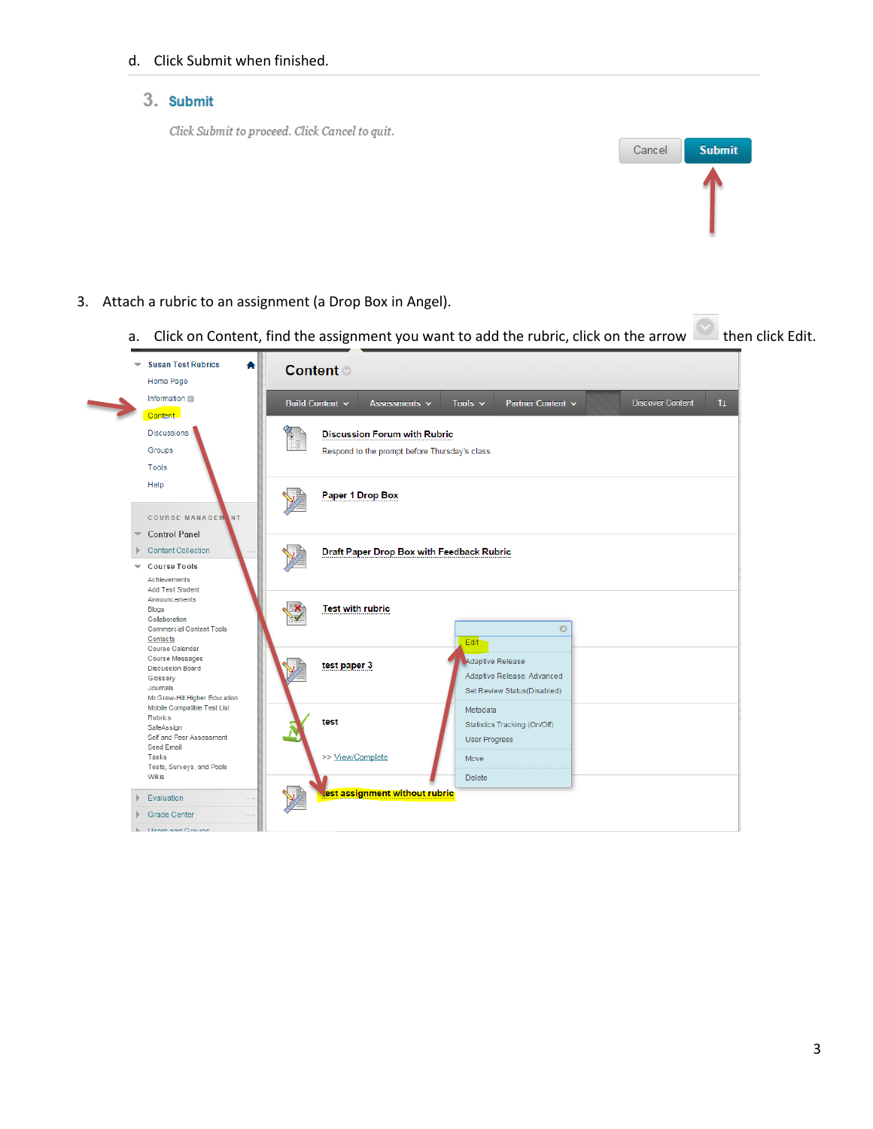### d. Click Submit when finished.

# 3. Submit

Click Submit to proceed. Click Cancel to quit.



- 3. Attach a rubric to an assignment (a Drop Box in Angel).
	- a. Click on Content, find the assignment you want to add the rubric, click on the arrow then click Edit.

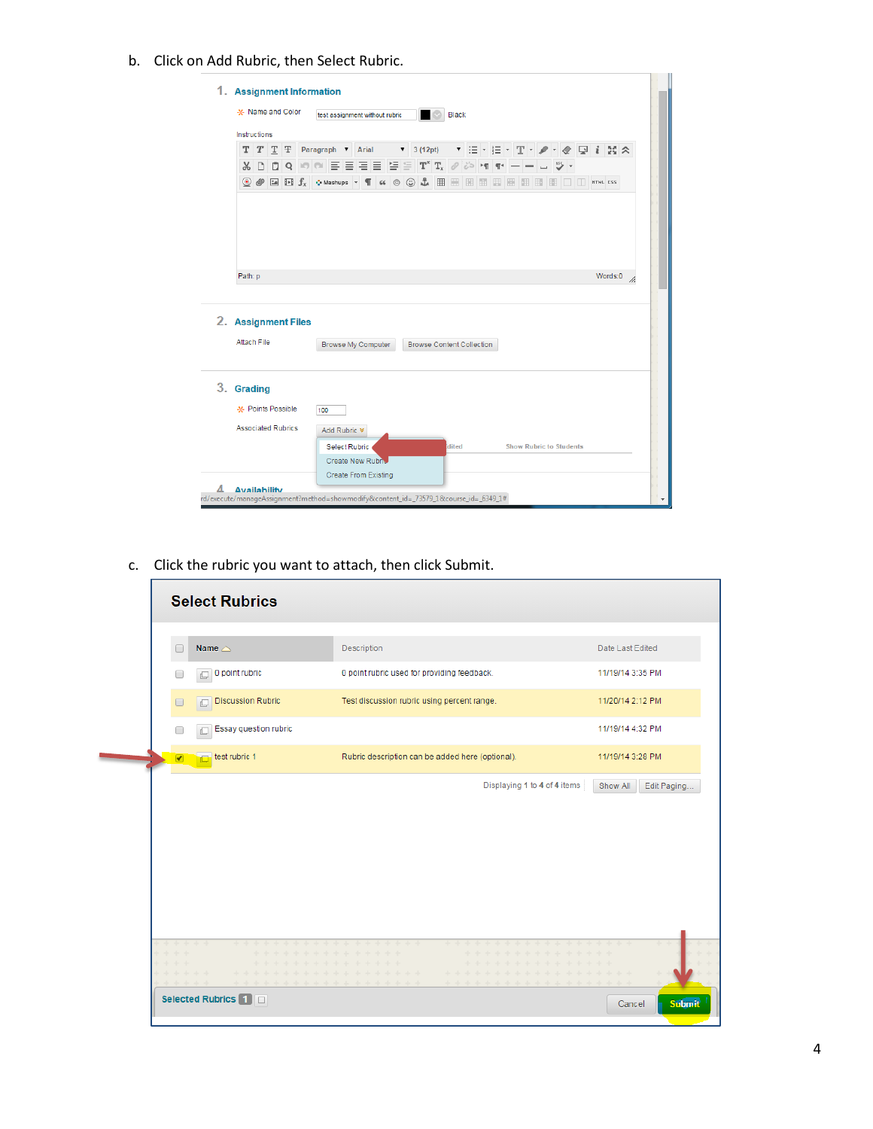b. Click on Add Rubric, then Select Rubric.

|                     |                           |                | -x- Name and Color | test assignment without rubric |                      |                           |                          |                                                                                                                                                                                                                                                                                                                                                                                                      | Black |                             |  |  |                                |  |         |  |
|---------------------|---------------------------|----------------|--------------------|--------------------------------|----------------------|---------------------------|--------------------------|------------------------------------------------------------------------------------------------------------------------------------------------------------------------------------------------------------------------------------------------------------------------------------------------------------------------------------------------------------------------------------------------------|-------|-----------------------------|--|--|--------------------------------|--|---------|--|
|                     | Instructions              |                |                    |                                |                      |                           |                          |                                                                                                                                                                                                                                                                                                                                                                                                      |       |                             |  |  |                                |  |         |  |
| T                   | T                         | T <sub>T</sub> | Paragraph V Arial  |                                |                      |                           | $\overline{\phantom{a}}$ | 3(12pt)                                                                                                                                                                                                                                                                                                                                                                                              |       | ▼ 旧 · 旧 · T · ノ · 々 回 i X × |  |  |                                |  |         |  |
| Y,                  | D                         |                |                    |                                |                      |                           |                          |                                                                                                                                                                                                                                                                                                                                                                                                      |       |                             |  |  |                                |  |         |  |
|                     |                           |                |                    |                                |                      |                           |                          | $\textcircled{\tiny{\bullet}}\textcircled{\tiny{\bullet}}$ Ea El $f_x$ $\textcircled{\tiny{\bullet}}$ Mashups $\textup{\tiny{\bullet}}$ T $\textup{\tiny{\bullet}}\textup{\tiny{\bullet}}$ $\textcircled{\tiny{\bullet}}\textcircled{\tiny{\bullet}}$ $\textup{\tiny{\bullet}}$ EB EB EB EB EB EB EB ED $\textup{\tiny{\bullet}}$ EB $\textup{\tiny{\bullet}}$ ED $\textup{\tiny{\bullet}}$ m/ml css |       |                             |  |  |                                |  |         |  |
|                     |                           |                |                    |                                |                      |                           |                          |                                                                                                                                                                                                                                                                                                                                                                                                      |       |                             |  |  |                                |  |         |  |
|                     |                           |                |                    |                                |                      |                           |                          |                                                                                                                                                                                                                                                                                                                                                                                                      |       |                             |  |  |                                |  |         |  |
|                     |                           |                |                    |                                |                      |                           |                          |                                                                                                                                                                                                                                                                                                                                                                                                      |       |                             |  |  |                                |  |         |  |
|                     |                           |                |                    |                                |                      |                           |                          |                                                                                                                                                                                                                                                                                                                                                                                                      |       |                             |  |  |                                |  |         |  |
| Path: p             |                           |                |                    |                                |                      |                           |                          |                                                                                                                                                                                                                                                                                                                                                                                                      |       |                             |  |  |                                |  | Words:0 |  |
|                     |                           |                |                    |                                |                      |                           |                          |                                                                                                                                                                                                                                                                                                                                                                                                      |       |                             |  |  |                                |  |         |  |
|                     |                           |                |                    |                                |                      |                           |                          |                                                                                                                                                                                                                                                                                                                                                                                                      |       |                             |  |  |                                |  |         |  |
|                     |                           |                |                    |                                |                      |                           |                          |                                                                                                                                                                                                                                                                                                                                                                                                      |       |                             |  |  |                                |  |         |  |
|                     |                           |                |                    |                                |                      |                           |                          |                                                                                                                                                                                                                                                                                                                                                                                                      |       |                             |  |  |                                |  |         |  |
| 2. Assignment Files | <b>Attach File</b>        |                |                    |                                |                      | <b>Browse My Computer</b> |                          | <b>Browse Content Collection</b>                                                                                                                                                                                                                                                                                                                                                                     |       |                             |  |  |                                |  |         |  |
|                     |                           |                |                    |                                |                      |                           |                          |                                                                                                                                                                                                                                                                                                                                                                                                      |       |                             |  |  |                                |  |         |  |
|                     |                           |                |                    |                                |                      |                           |                          |                                                                                                                                                                                                                                                                                                                                                                                                      |       |                             |  |  |                                |  |         |  |
|                     |                           |                |                    |                                |                      |                           |                          |                                                                                                                                                                                                                                                                                                                                                                                                      |       |                             |  |  |                                |  |         |  |
| 3. Grading          | -X- Points Possible       |                |                    | 100                            |                      |                           |                          |                                                                                                                                                                                                                                                                                                                                                                                                      |       |                             |  |  |                                |  |         |  |
|                     | <b>Associated Rubrics</b> |                |                    | Add Rubric ¥                   |                      |                           |                          |                                                                                                                                                                                                                                                                                                                                                                                                      |       |                             |  |  |                                |  |         |  |
|                     |                           |                |                    |                                | <b>Select Rubric</b> |                           |                          |                                                                                                                                                                                                                                                                                                                                                                                                      | dited |                             |  |  | <b>Show Rubric to Students</b> |  |         |  |

c. Click the rubric you want to attach, then click Submit.

|                                             | <b>Select Rubrics</b>         |                          |                                               |             |                                                  |                                           |   |          |  |                         |  |         |                  |               |  |
|---------------------------------------------|-------------------------------|--------------------------|-----------------------------------------------|-------------|--------------------------------------------------|-------------------------------------------|---|----------|--|-------------------------|--|---------|------------------|---------------|--|
|                                             | Name $\triangle$              |                          |                                               | Description |                                                  |                                           |   |          |  |                         |  |         | Date Last Edited |               |  |
|                                             | 0 point rubric                |                          |                                               |             | 0 point rubric used for providing feedback.      |                                           |   |          |  |                         |  |         | 11/19/14 3:35 PM |               |  |
| $\Box$                                      | <b>Discussion Rubric</b><br>Ō |                          |                                               |             | Test discussion rubric using percent range.      |                                           |   |          |  |                         |  |         | 11/20/14 2:12 PM |               |  |
| Г                                           | Essay question rubric         |                          |                                               |             |                                                  |                                           |   |          |  |                         |  |         | 11/19/14 4:32 PM |               |  |
| $\blacktriangleright$                       | test rubric 1                 |                          |                                               |             | Rubric description can be added here (optional). |                                           |   |          |  |                         |  |         | 11/19/14 3:28 PM |               |  |
|                                             |                               |                          |                                               |             |                                                  |                                           |   |          |  |                         |  |         |                  |               |  |
|                                             |                               |                          |                                               |             |                                                  |                                           |   |          |  |                         |  |         |                  |               |  |
| ****<br><b>- + + +</b>                      |                               | -                        | * * * * * * * * * * * * *                     |             |                                                  | .                                         | - | the site |  | ada ada ada ada ada ada |  |         |                  |               |  |
| <b>For the state</b><br>and a dealer dealer | ---                           | + +<br>***************** | **********<br>+ + + + + + + + + + + + + + + + |             |                                                  | + + + + + + + + + + + +<br>************** |   |          |  |                         |  | -1-1-1- |                  |               |  |
|                                             | Selected Rubrics 1 0          |                          |                                               |             |                                                  |                                           |   |          |  |                         |  |         | Cancel           | <b>Submit</b> |  |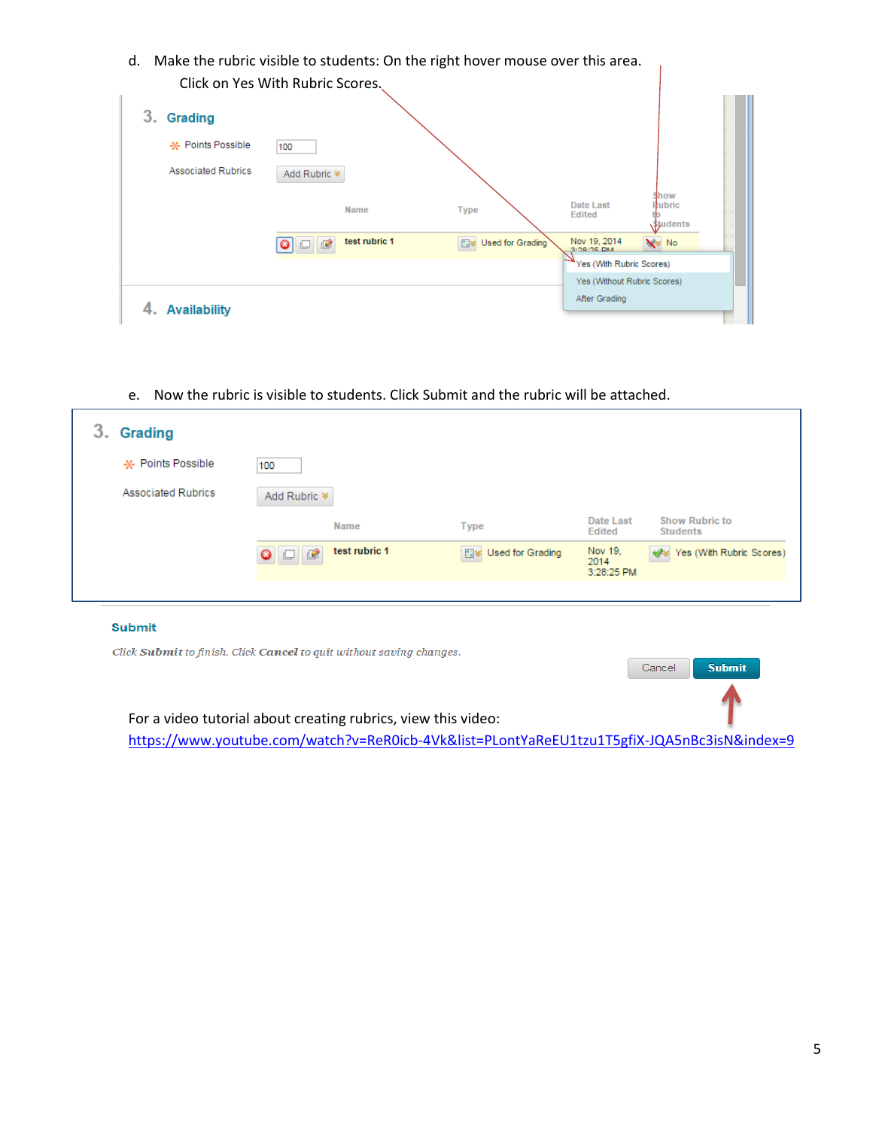d. Make the rubric visible to students: On the right hover mouse over this area. Click on Yes With Rubric Scores.

|                           | CHER OIL TES WILLI RUDITE SCOTES. |                        |                              |                                          |  |
|---------------------------|-----------------------------------|------------------------|------------------------------|------------------------------------------|--|
| 3.<br>Grading             |                                   |                        |                              |                                          |  |
| -X- Points Possible       | 100                               |                        |                              |                                          |  |
| <b>Associated Rubrics</b> | Add Rubric <sup>¥</sup>           |                        |                              |                                          |  |
|                           | Name                              | <b>Type</b>            | Date Last<br><b>Edited</b>   | Show<br>Rubric<br><b><i>students</i></b> |  |
|                           | test rubric 1<br>圈                | Used for Grading<br>日本 | Nov 19, 2014<br>$3.28.25$ DM | <b>N</b> No                              |  |
|                           |                                   |                        | Yes (With Rubric Scores)     |                                          |  |
|                           |                                   |                        | Yes (Without Rubric Scores)  |                                          |  |
| <b>Availability</b><br>4. |                                   |                        | After Grading                |                                          |  |

e. Now the rubric is visible to students. Click Submit and the rubric will be attached.

| 3.<br><b>Grading</b>      |                            |               |                            |                               |                                          |
|---------------------------|----------------------------|---------------|----------------------------|-------------------------------|------------------------------------------|
| -X- Points Possible       | 100                        |               |                            |                               |                                          |
| <b>Associated Rubrics</b> | Add Rubric *               |               |                            |                               |                                          |
|                           |                            | <b>Name</b>   | <b>Type</b>                | Date Last<br><b>Edited</b>    | <b>Show Rubric to</b><br><b>Students</b> |
|                           | $\bullet$ $\Box$ $\bullet$ | test rubric 1 | <b>EV</b> Used for Grading | Nov 19,<br>2014<br>3:28:25 PM | Ves (With Rubric Scores)                 |
|                           |                            |               |                            |                               |                                          |

### **Submit**

Click Submit to finish. Click Cancel to quit without saving changes. Cancel Submit For a video tutorial about creating rubrics, view this video: <https://www.youtube.com/watch?v=ReR0icb-4Vk&list=PLontYaReEU1tzu1T5gfiX-JQA5nBc3isN&index=9>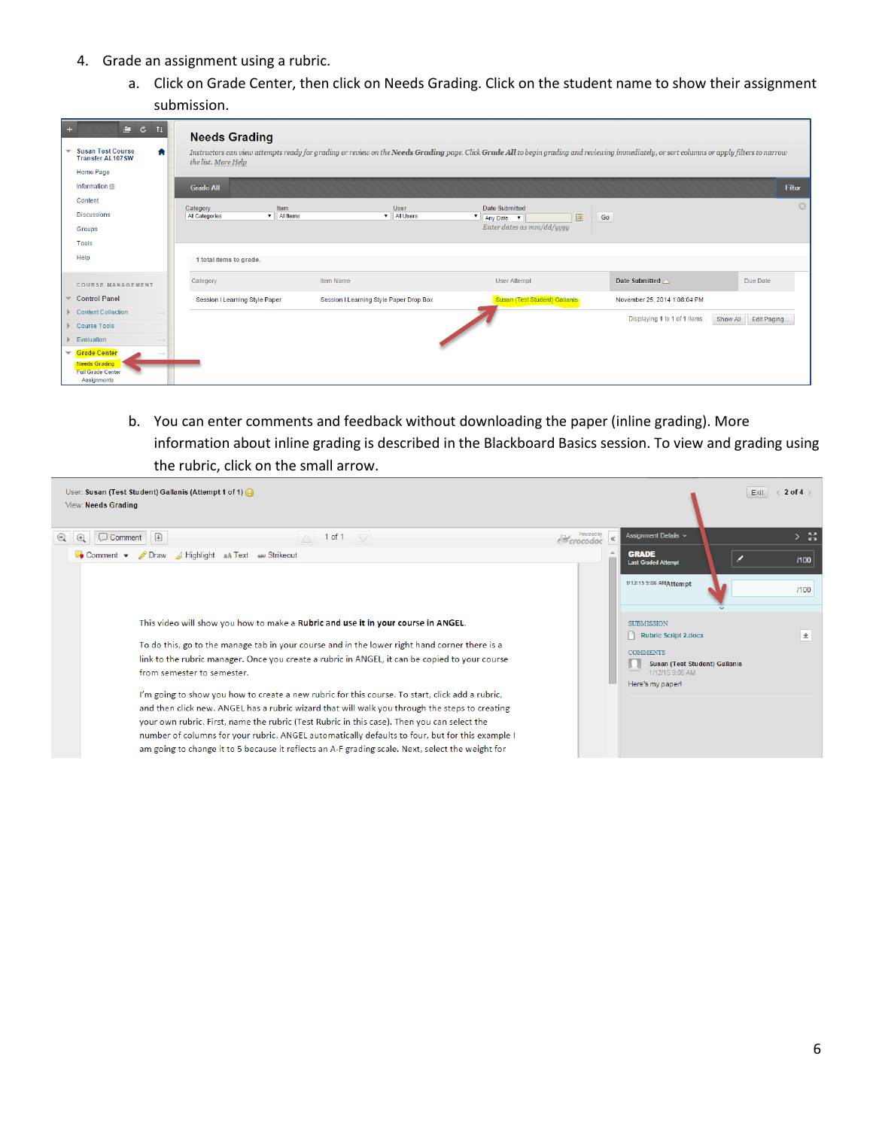- 4. Grade an assignment using a rubric.
	- a. Click on Grade Center, then click on Needs Grading. Click on the student name to show their assignment submission.

| $C = C$ $T$<br>$\ddot{\phantom{1}}$<br>$\blacktriangledown$ Susan Test Course<br>合<br><b>Transfer AL107SW</b><br><b>Home Page</b>                                                            | <b>Needs Grading</b><br>the list. More Help                            | Instructors can view attempts ready for grading or review on the Needs Grading page. Click Grade All to begin grading and reviewing immediately, or sort columns or apply filters to narrow |                                                                                            |                              |                         |
|----------------------------------------------------------------------------------------------------------------------------------------------------------------------------------------------|------------------------------------------------------------------------|---------------------------------------------------------------------------------------------------------------------------------------------------------------------------------------------|--------------------------------------------------------------------------------------------|------------------------------|-------------------------|
| Information III                                                                                                                                                                              | <b>Grade All</b>                                                       |                                                                                                                                                                                             |                                                                                            |                              | Filter                  |
| Content<br><b>Discussions</b><br>Groups                                                                                                                                                      | Item<br>Category<br>$\triangledown$ All Items<br><b>All Categories</b> | User<br><b>v</b>   All Users                                                                                                                                                                | Date Submitted<br>$\pmb{\mathrm{v}}$<br>Any Date $\mathbf{v}$<br>Enter dates as mm/dd/yyyy | Go                           | $\odot$                 |
| Tools                                                                                                                                                                                        |                                                                        |                                                                                                                                                                                             |                                                                                            |                              |                         |
| Help                                                                                                                                                                                         | 1 total items to grade.                                                |                                                                                                                                                                                             |                                                                                            |                              |                         |
| <b>COURSE MANAGEMENT</b>                                                                                                                                                                     | Category                                                               | Item Name                                                                                                                                                                                   | <b>User Attempt</b>                                                                        | Date Submitted $\triangle$   | Due Date                |
| $\blacktriangledown$ Control Panel                                                                                                                                                           | <b>Session I Learning Style Paper</b>                                  | Session I Learning Style Paper Drop Box                                                                                                                                                     | Susan (Test Student) Gallanis                                                              | November 25, 2014 1:08:04 PM |                         |
| Content Collection<br>Course Tools<br>$\blacktriangleright$ Evaluation<br>Grade Center<br>$\overline{\phantom{a}}$<br><b>Needs Grading</b><br><b>Full Grade Center</b><br><b>Assignments</b> |                                                                        |                                                                                                                                                                                             |                                                                                            | Displaying 1 to 1 of 1 items | Show All<br>Edit Paging |

b. You can enter comments and feedback without downloading the paper (inline grading). More information about inline grading is described in the Blackboard Basics session. To view and grading using the rubric, click on the small arrow.

| User: Susan (Test Student) Gallanis (Attempt 1 of 1)<br>View: Needs Grading                                                                                                                                                                                                                                                                                                                                                                                                                             |                                               |                                                         | Exit | $\langle 2$ of 4 $\rangle$ |
|---------------------------------------------------------------------------------------------------------------------------------------------------------------------------------------------------------------------------------------------------------------------------------------------------------------------------------------------------------------------------------------------------------------------------------------------------------------------------------------------------------|-----------------------------------------------|---------------------------------------------------------|------|----------------------------|
| $\odot$<br>$\Box$ Comment $\Box$<br>$^{\circ}$<br>1 of 1 $\sqrt{ }$<br>$\wedge$                                                                                                                                                                                                                                                                                                                                                                                                                         | <b>E</b> crocodoc<br>$\overline{\mathcal{R}}$ | Assignment Details ~                                    |      | $\sum_{k=1}^{n}$           |
| Draw / Highlight aA Text ABE Strikeout<br>$\bullet$ Comment $\bullet$                                                                                                                                                                                                                                                                                                                                                                                                                                   | $\rightarrow$                                 | <b>GRADE</b><br><b>Last Graded Attempt</b>              |      | /100                       |
|                                                                                                                                                                                                                                                                                                                                                                                                                                                                                                         |                                               | 1/12/15 9:06 AMAttempt                                  |      | /100                       |
| This video will show you how to make a Rubric and use it in your course in ANGEL.                                                                                                                                                                                                                                                                                                                                                                                                                       |                                               | <b>SUBMISSION</b><br>Rubric Script 2.docx               |      | $\pm$                      |
| To do this, go to the manage tab in your course and in the lower right hand corner there is a                                                                                                                                                                                                                                                                                                                                                                                                           |                                               | <b>COMMENTS</b>                                         |      |                            |
| link to the rubric manager. Once you create a rubric in ANGEL, it can be copied to your course<br>from semester to semester.                                                                                                                                                                                                                                                                                                                                                                            |                                               | <b>Susan (Test Student) Gallanis</b><br>1/12/15 9:06 AM |      |                            |
| I'm going to show you how to create a new rubric for this course. To start, click add a rubric,<br>and then click new. ANGEL has a rubric wizard that will walk you through the steps to creating<br>your own rubric. First, name the rubric (Test Rubric in this case). Then you can select the<br>number of columns for your rubric. ANGEL automatically defaults to four, but for this example I<br>am going to change it to 5 because it reflects an A-F grading scale. Next, select the weight for |                                               | Here's my paper!                                        |      |                            |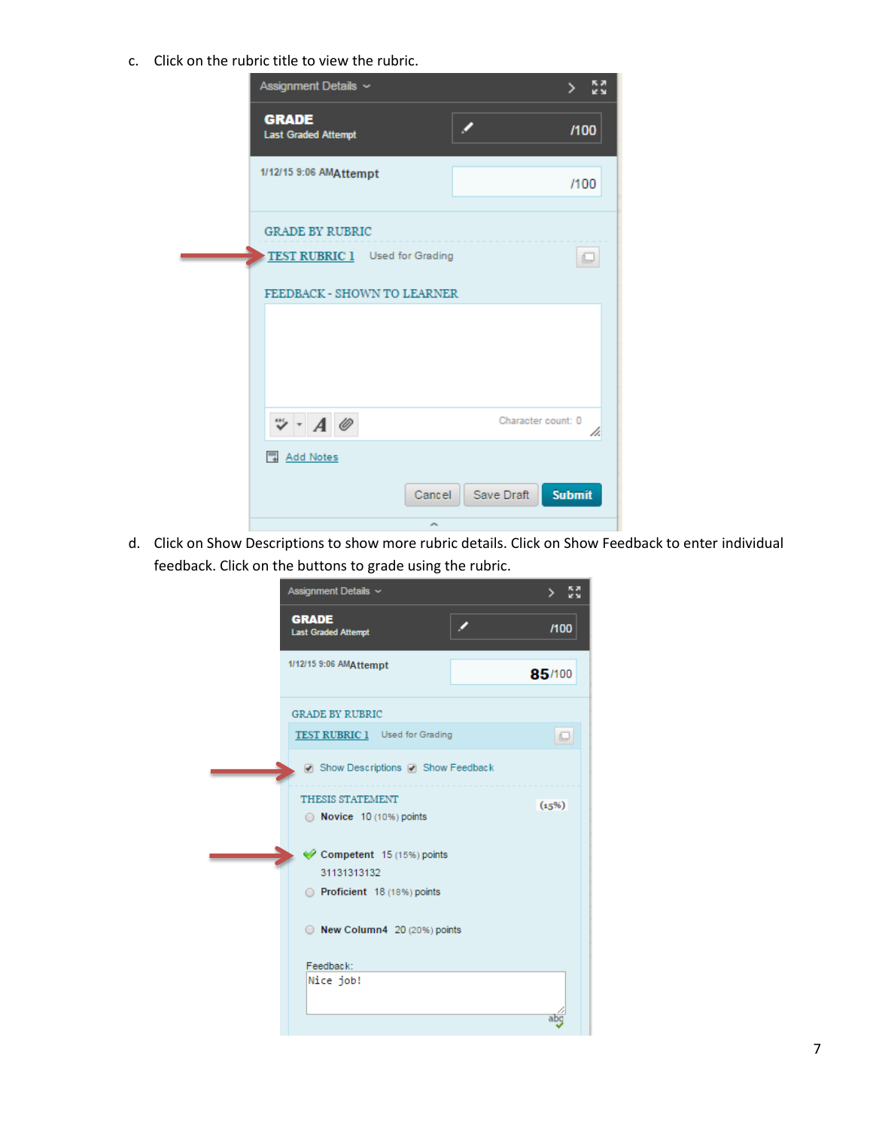c. Click on the rubric title to view the rubric.

| Assignment Details ~                       |                             | 52<br><b>VN</b> |
|--------------------------------------------|-----------------------------|-----------------|
| <b>GRADE</b><br><b>Last Graded Attempt</b> |                             | /100            |
| 1/12/15 9:06 AMAttempt                     |                             | /100            |
| <b>GRADE BY RUBRIC</b>                     |                             |                 |
| TEST RUBRIC 1 Used for Grading             |                             |                 |
| FEEDBACK - SHOWN TO LEARNER                |                             |                 |
|                                            |                             |                 |
| $\ddot{v}$ - $A \circledcirc$              | Character count: 0          | h.              |
| Add Notes                                  |                             |                 |
| Cancel                                     | <b>Submit</b><br>Save Draft |                 |
| ×                                          |                             |                 |

d. Click on Show Descriptions to show more rubric details. Click on Show Feedback to enter individual feedback. Click on the buttons to grade using the rubric.

| Assignment Details ~                       | <b>AN</b> |
|--------------------------------------------|-----------|
| <b>GRADE</b><br><b>Last Graded Attempt</b> | /100      |
| 1/12/15 9:06 AMAttempt                     | 85/100    |
| <b>GRADE BY RUBRIC</b>                     |           |
| TEST RUBRIC 1 Used for Grading             | $\Box$    |
| □ Show Descriptions □ Show Feedback        |           |
| <b>THESIS STATEMENT</b>                    | (15%)     |
| <b>Novice</b> 10 (10%) points              |           |
| Competent 15 (15%) points                  |           |
| 31131313132                                |           |
| Proficient 18 (18%) points                 |           |
| $\odot$ New Column4 20 (20%) points        |           |
| Feedback:                                  |           |
| Nice job!                                  |           |